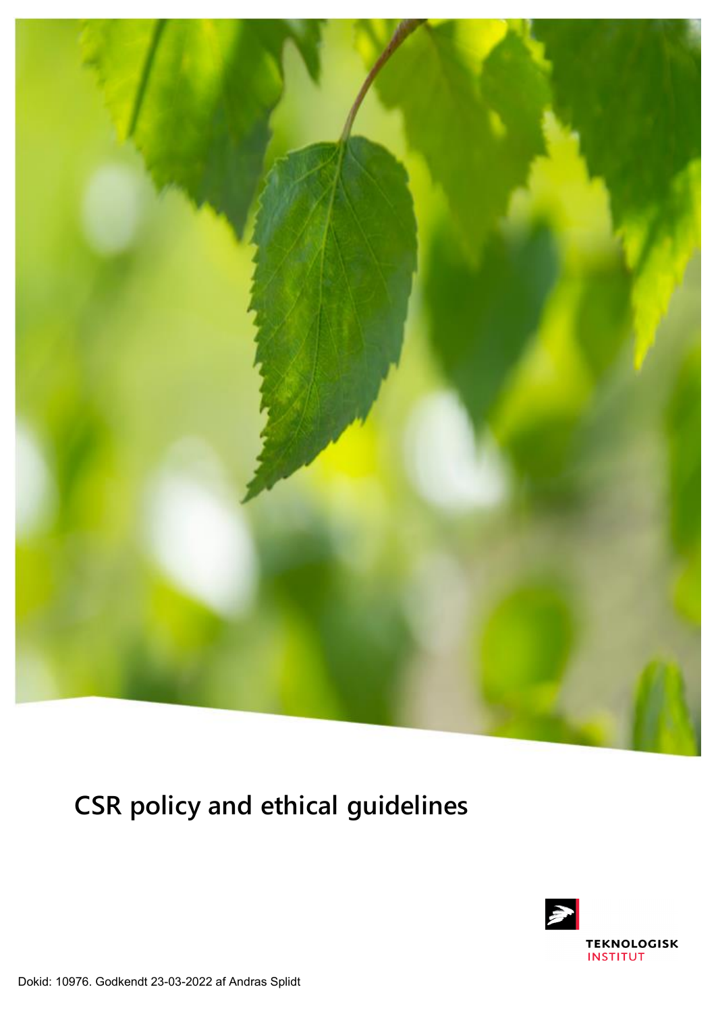

**CSR policy and ethical guidelines**

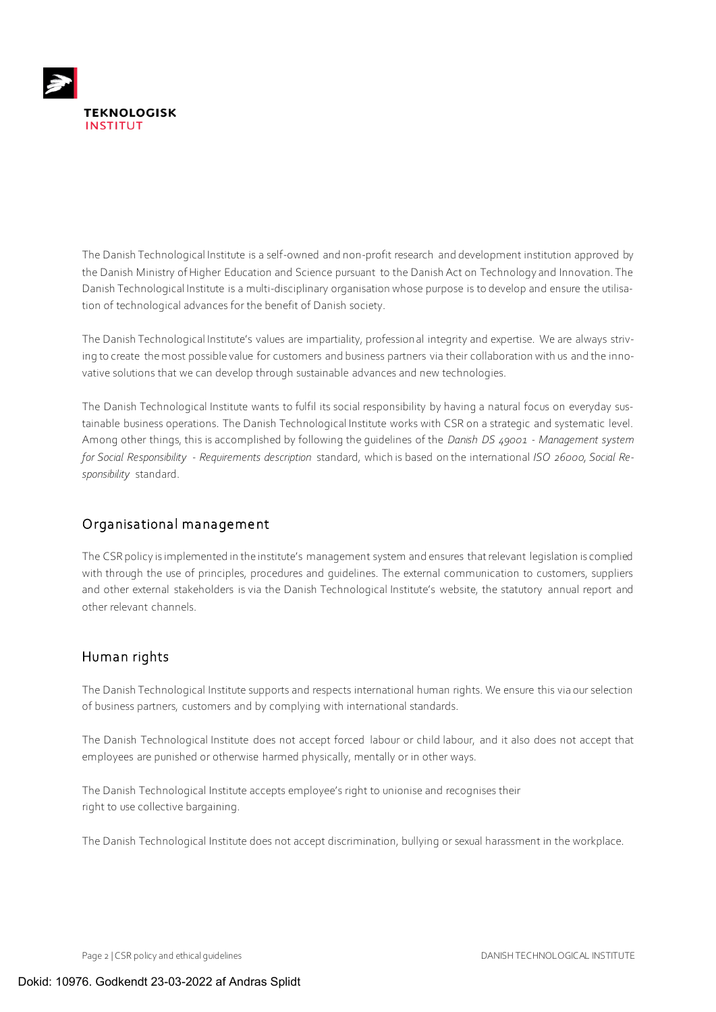

The Danish Technological Institute is a self-owned and non-profit research and development institution approved by the Danish Ministry of Higher Education and Science pursuant to the Danish Act on Technology and Innovation. The Danish Technological Institute is a multi-disciplinary organisation whose purpose is to develop and ensure the utilisation of technological advances for the benefit of Danish society.

The Danish Technological Institute's values are impartiality, professional integrity and expertise. We are always striving to create the most possible value for customers and business partners via their collaboration with us and the innovative solutions that we can develop through sustainable advances and new technologies.

The Danish Technological Institute wants to fulfil its social responsibility by having a natural focus on everyday sustainable business operations. The Danish Technological Institute works with CSR on a strategic and systematic level. Among other things, this is accomplished by following the guidelines of the *Danish DS 49001 - Management system for Social Responsibility - Requirements description* standard, which is based on the international *ISO 26000, Social Responsibility* standard.

## Organisational management

The CSR policy is implemented in the institute's management system and ensures that relevant legislation is complied with through the use of principles, procedures and guidelines. The external communication to customers, suppliers and other external stakeholders is via the Danish Technological Institute's website, the statutory annual report and other relevant channels.

## Human rights

The Danish Technological Institute supports and respects international human rights. We ensure this via our selection of business partners, customers and by complying with international standards.

The Danish Technological Institute does not accept forced labour or child labour, and it also does not accept that employees are punished or otherwise harmed physically, mentally or in other ways.

The Danish Technological Institute accepts employee's right to unionise and recognises their right to use collective bargaining.

The Danish Technological Institute does not accept discrimination, bullying or sexual harassment in the workplace.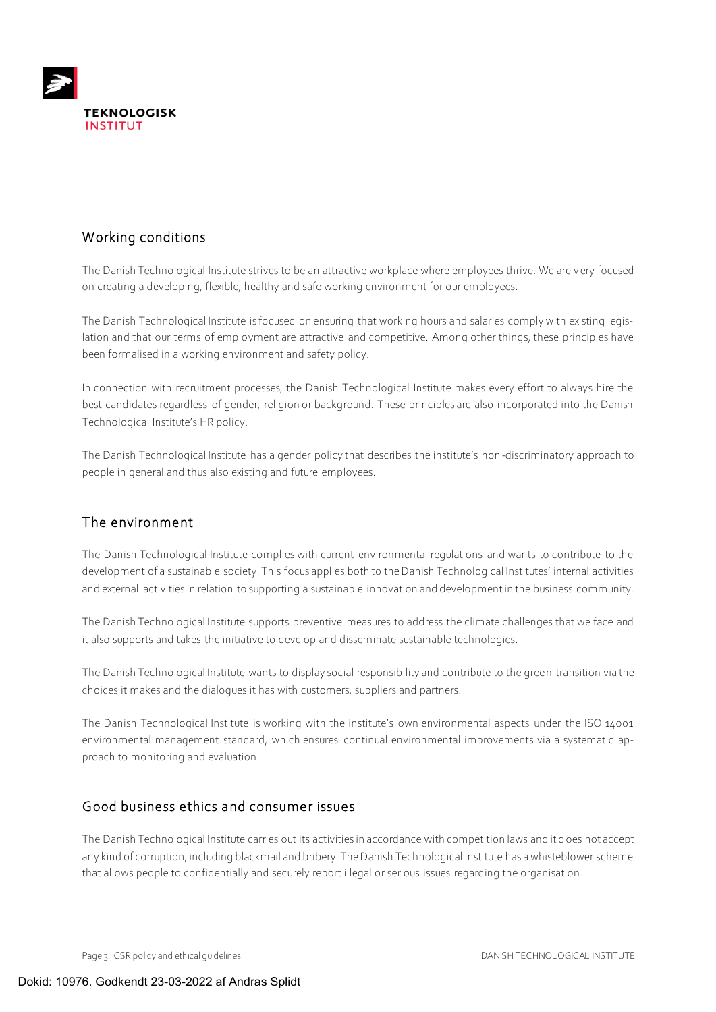

# Working conditions

The Danish Technological Institute strives to be an attractive workplace where employees thrive. We are very focused on creating a developing, flexible, healthy and safe working environment for our employees.

The Danish Technological Institute is focused on ensuring that working hours and salaries comply with existing legislation and that our terms of employment are attractive and competitive. Among other things, these principles have been formalised in a working environment and safety policy.

In connection with recruitment processes, the Danish Technological Institute makes every effort to always hire the best candidates regardless of gender, religion or background. These principles are also incorporated into the Danish Technological Institute's HR policy.

The Danish Technological Institute has a gender policy that describes the institute's non-discriminatory approach to people in general and thus also existing and future employees.

## The environment

The Danish Technological Institute complies with current environmental regulations and wants to contribute to the development of a sustainable society. This focus applies both to the Danish Technological Institutes' internal activities and external activities in relation to supporting a sustainable innovation and development in the business community.

The Danish Technological Institute supports preventive measures to address the climate challenges that we face and it also supports and takes the initiative to develop and disseminate sustainable technologies.

The Danish Technological Institute wants to display social responsibility and contribute to the green transition via the choices it makes and the dialogues it has with customers, suppliers and partners.

The Danish Technological Institute is working with the institute's own environmental aspects under the ISO 14001 environmental management standard, which ensures continual environmental improvements via a systematic approach to monitoring and evaluation.

#### Good business ethics and consumer issues

The Danish Technological Institute carries out its activities in accordance with competition laws and it does not accept any kind of corruption, including blackmail and bribery. The Danish Technological Institute has a whisteblower scheme that allows people to confidentially and securely report illegal or serious issues regarding the organisation.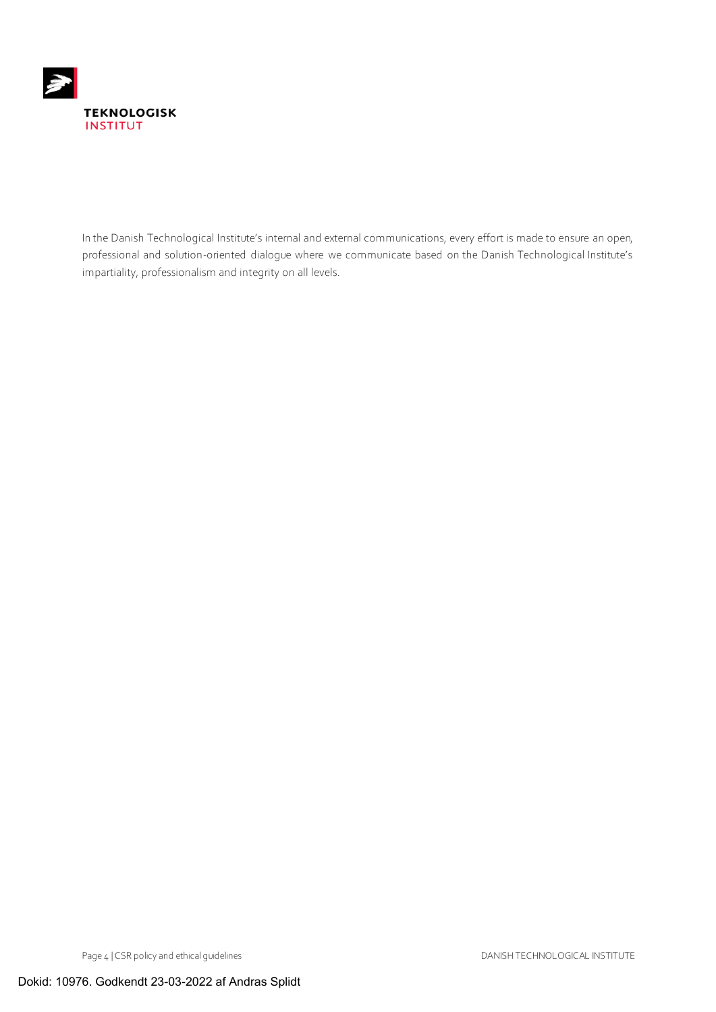

In the Danish Technological Institute's internal and external communications, every effort is made to ensure an open, professional and solution-oriented dialogue where we communicate based on the Danish Technological Institute's impartiality, professionalism and integrity on all levels.